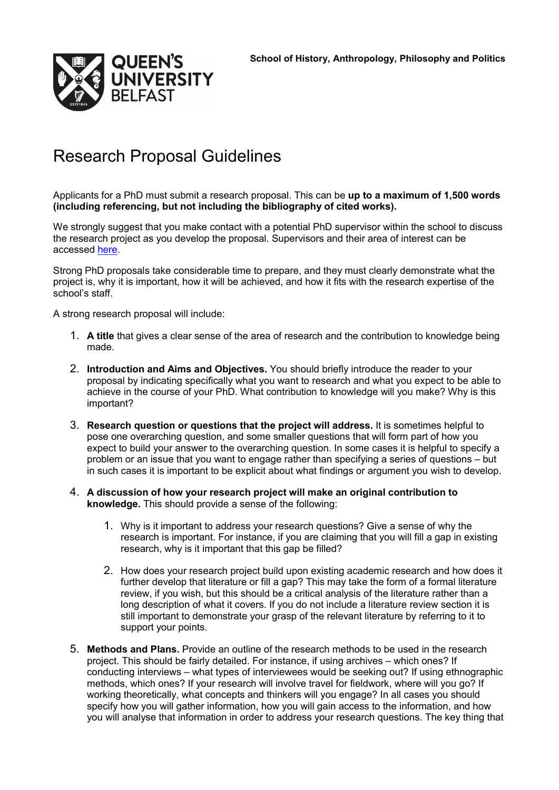

## Research Proposal Guidelines

Applicants for a PhD must submit a research proposal. This can be **up to a maximum of 1,500 words (including referencing, but not including the bibliography of cited works).**

We strongly suggest that you make contact with a potential PhD supervisor within the school to discuss the research project as you develop the proposal. Supervisors and their area of interest can be accessed [here.](http://www.qub.ac.uk/Study/PostgraduateStudy/Postgraduate-research/find-phd-supervisor/)

Strong PhD proposals take considerable time to prepare, and they must clearly demonstrate what the project is, why it is important, how it will be achieved, and how it fits with the research expertise of the school's staff.

A strong research proposal will include:

- 1. **A title** that gives a clear sense of the area of research and the contribution to knowledge being made.
- 2. **Introduction and Aims and Objectives.** You should briefly introduce the reader to your proposal by indicating specifically what you want to research and what you expect to be able to achieve in the course of your PhD. What contribution to knowledge will you make? Why is this important?
- 3. **Research question or questions that the project will address.** It is sometimes helpful to pose one overarching question, and some smaller questions that will form part of how you expect to build your answer to the overarching question. In some cases it is helpful to specify a problem or an issue that you want to engage rather than specifying a series of questions – but in such cases it is important to be explicit about what findings or argument you wish to develop.
- 4. **A discussion of how your research project will make an original contribution to knowledge.** This should provide a sense of the following:
	- 1. Why is it important to address your research questions? Give a sense of why the research is important. For instance, if you are claiming that you will fill a gap in existing research, why is it important that this gap be filled?
	- 2. How does your research project build upon existing academic research and how does it further develop that literature or fill a gap? This may take the form of a formal literature review, if you wish, but this should be a critical analysis of the literature rather than a long description of what it covers. If you do not include a literature review section it is still important to demonstrate your grasp of the relevant literature by referring to it to support your points.
- 5. **Methods and Plans.** Provide an outline of the research methods to be used in the research project. This should be fairly detailed. For instance, if using archives – which ones? If conducting interviews – what types of interviewees would be seeking out? If using ethnographic methods, which ones? If your research will involve travel for fieldwork, where will you go? If working theoretically, what concepts and thinkers will you engage? In all cases you should specify how you will gather information, how you will gain access to the information, and how you will analyse that information in order to address your research questions. The key thing that